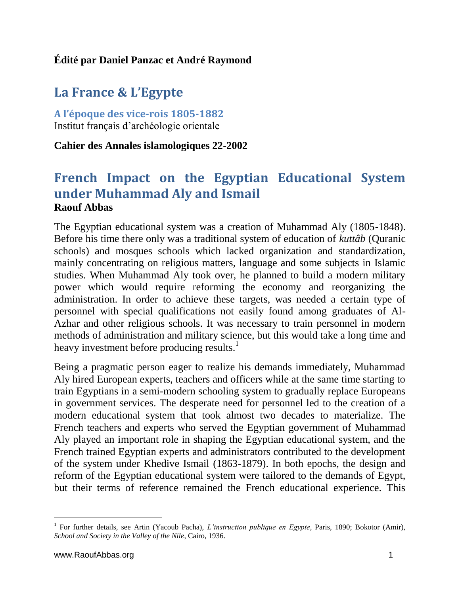## **Édité par Daniel Panzac et André Raymond**

# **La France & L'Egypte**

**A l'époque des vice-rois 1805-1882** Institut français d'archéologie orientale

#### **Cahier des Annales islamologiques 22-2002**

# **French Impact on the Egyptian Educational System under Muhammad Aly and Ismail Raouf Abbas**

The Egyptian educational system was a creation of Muhammad Aly (1805-1848). Before his time there only was a traditional system of education of *kuttâb* (Quranic schools) and mosques schools which lacked organization and standardization, mainly concentrating on religious matters, language and some subjects in Islamic studies. When Muhammad Aly took over, he planned to build a modern military power which would require reforming the economy and reorganizing the administration. In order to achieve these targets, was needed a certain type of personnel with special qualifications not easily found among graduates of Al-Azhar and other religious schools. It was necessary to train personnel in modern methods of administration and military science, but this would take a long time and heavy investment before producing results.<sup>1</sup>

Being a pragmatic person eager to realize his demands immediately, Muhammad Aly hired European experts, teachers and officers while at the same time starting to train Egyptians in a semi-modern schooling system to gradually replace Europeans in government services. The desperate need for personnel led to the creation of a modern educational system that took almost two decades to materialize. The French teachers and experts who served the Egyptian government of Muhammad Aly played an important role in shaping the Egyptian educational system, and the French trained Egyptian experts and administrators contributed to the development of the system under Khedive Ismail (1863-1879). In both epochs, the design and reform of the Egyptian educational system were tailored to the demands of Egypt, but their terms of reference remained the French educational experience. This

 1 For further details, see Artin (Yacoub Pacha), *L'instruction publique en Egypte*, Paris, 1890; Bokotor (Amir), *School and Society in the Valley of the Nile*, Cairo, 1936.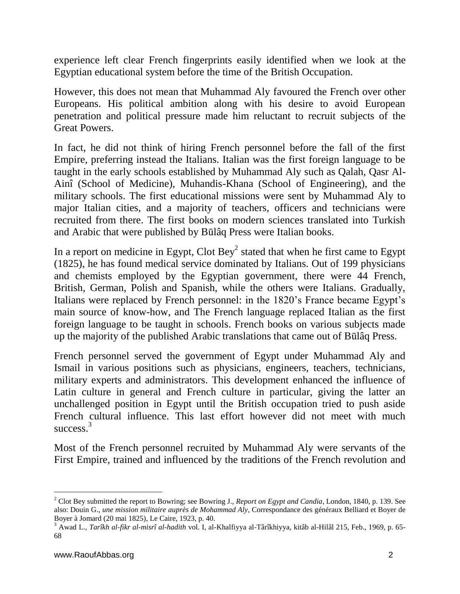experience left clear French fingerprints easily identified when we look at the Egyptian educational system before the time of the British Occupation.

However, this does not mean that Muhammad Aly favoured the French over other Europeans. His political ambition along with his desire to avoid European penetration and political pressure made him reluctant to recruit subjects of the Great Powers.

In fact, he did not think of hiring French personnel before the fall of the first Empire, preferring instead the Italians. Italian was the first foreign language to be taught in the early schools established by Muhammad Aly such as Qalah, Qasr Al-Ainî (School of Medicine), Muhandis-Khana (School of Engineering), and the military schools. The first educational missions were sent by Muhammad Aly to major Italian cities, and a majority of teachers, officers and technicians were recruited from there. The first books on modern sciences translated into Turkish and Arabic that were published by Būlâq Press were Italian books.

In a report on medicine in Egypt, Clot Bey<sup>2</sup> stated that when he first came to Egypt (1825), he has found medical service dominated by Italians. Out of 199 physicians and chemists employed by the Egyptian government, there were 44 French, British, German, Polish and Spanish, while the others were Italians. Gradually, Italians were replaced by French personnel: in the 1820's France became Egypt's main source of know-how, and The French language replaced Italian as the first foreign language to be taught in schools. French books on various subjects made up the majority of the published Arabic translations that came out of Būlâq Press.

French personnel served the government of Egypt under Muhammad Aly and Ismail in various positions such as physicians, engineers, teachers, technicians, military experts and administrators. This development enhanced the influence of Latin culture in general and French culture in particular, giving the latter an unchallenged position in Egypt until the British occupation tried to push aside French cultural influence. This last effort however did not meet with much success.<sup>3</sup>

Most of the French personnel recruited by Muhammad Aly were servants of the First Empire, trained and influenced by the traditions of the French revolution and

<sup>2</sup> Clot Bey submitted the report to Bowring; see Bowring J., *Report on Egypt and Candia*, London, 1840, p. 139. See also: Douin G., *une mission militaire auprès de Mohammad Aly*, Correspondance des généraux Belliard et Boyer de Boyer à Jomard (20 mai 1825), Le Caire, 1923, p. 40.

<sup>3</sup> Awad L., *Tarîkh al-fikr al-misrî al-hadith* vol. I, al-Khalfiyya al-Târîkhiyya, kitâb al-Hilâl 215, Feb., 1969, p. 65- 68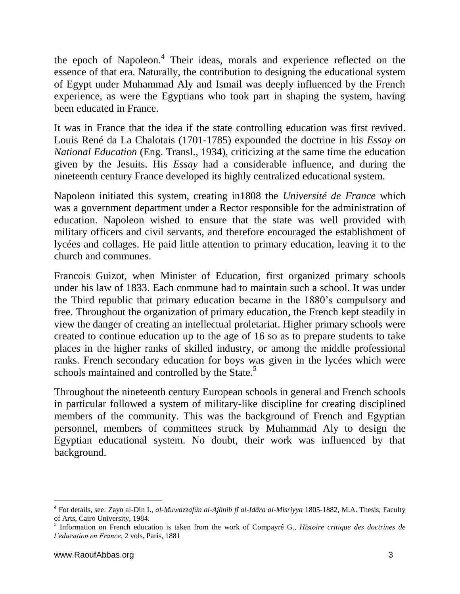the epoch of Napoleon.<sup>4</sup> Their ideas, morals and experience reflected on the essence of that era. Naturally, the contribution to designing the educational system of Egypt under Muhammad Aly and Ismail was deeply influenced by the French experience, as were the Egyptians who took part in shaping the system, having been educated in France.

It was in France that the idea if the state controlling education was first revived. Louis René da La Chalotais (1701-1785) expounded the doctrine in his *Essay on National Education* (Eng. Transl., 1934), criticizing at the same time the education given by the Jesuits. His *Essay* had a considerable influence, and during the nineteenth century France developed its highly centralized educational system.

Napoleon initiated this system, creating in1808 the *Université de France* which was a government department under a Rector responsible for the administration of education. Napoleon wished to ensure that the state was well provided with military officers and civil servants, and therefore encouraged the establishment of lycées and collages. He paid little attention to primary education, leaving it to the church and communes.

Francois Guizot, when Minister of Education, first organized primary schools under his law of 1833. Each commune had to maintain such a school. It was under the Third republic that primary education became in the 1880's compulsory and free. Throughout the organization of primary education, the French kept steadily in view the danger of creating an intellectual proletariat. Higher primary schools were created to continue education up to the age of 16 so as to prepare students to take places in the higher ranks of skilled industry, or among the middle professional ranks. French secondary education for boys was given in the lycées which were schools maintained and controlled by the State.<sup>5</sup>

Throughout the nineteenth century European schools in general and French schools in particular followed a system of military-like discipline for creating disciplined members of the community. This was the background of French and Egyptian personnel, members of committees struck by Muhammad Aly to design the Egyptian educational system. No doubt, their work was influenced by that background.

<sup>4</sup> Fot details, see: Zayn al-Din I., *al-Muwazzafûn al-Ajânib fî al-Idâra al-Misriyya* 1805-1882, M.A. Thesis, Faculty of Arts, Cairo University, 1984. 5 Information on French education is taken from the work of Compayré G., *Histoire critique des doctrines de* 

*l'education en France*, 2 vols, Paris, 1881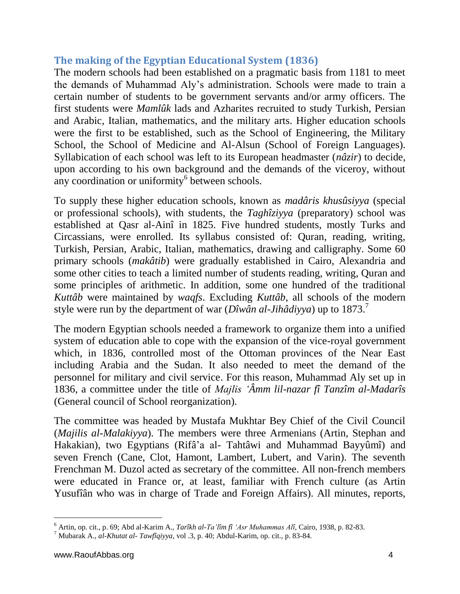# **The making of the Egyptian Educational System (1836)**

The modern schools had been established on a pragmatic basis from 1181 to meet the demands of Muhammad Aly's administration. Schools were made to train a certain number of students to be government servants and/or army officers. The first students were *Mamlûk* lads and Azharites recruited to study Turkish, Persian and Arabic, Italian, mathematics, and the military arts. Higher education schools were the first to be established, such as the School of Engineering, the Military School, the School of Medicine and Al-Alsun (School of Foreign Languages). Syllabication of each school was left to its European headmaster (*nâzir*) to decide, upon according to his own background and the demands of the viceroy, without any coordination or uniformity<sup>6</sup> between schools.

To supply these higher education schools, known as *madâris khusûsiyya* (special or professional schools), with students, the *Taghîziyya* (preparatory) school was established at Qasr al-Ainî in 1825. Five hundred students, mostly Turks and Circassians, were enrolled. Its syllabus consisted of: Quran, reading, writing, Turkish, Persian, Arabic, Italian, mathematics, drawing and calligraphy. Some 60 primary schools (*makâtib*) were gradually established in Cairo, Alexandria and some other cities to teach a limited number of students reading, writing, Quran and some principles of arithmetic. In addition, some one hundred of the traditional *Kuttâb* were maintained by *waqfs*. Excluding *Kuttâb*, all schools of the modern style were run by the department of war (*Dîwân al-Jihâdiyya*) up to 1873.<sup>7</sup>

The modern Egyptian schools needed a framework to organize them into a unified system of education able to cope with the expansion of the vice-royal government which, in 1836, controlled most of the Ottoman provinces of the Near East including Arabia and the Sudan. It also needed to meet the demand of the personnel for military and civil service. For this reason, Muhammad Aly set up in 1836, a committee under the title of *Majlis 'Âmm lil-nazar fî Tanzîm al-Madarîs*  (General council of School reorganization).

The committee was headed by Mustafa Mukhtar Bey Chief of the Civil Council (*Majilis al-Malakiyya*). The members were three Armenians (Artin, Stephan and Hakakian), two Egyptians (Rifâ'a al- Tahtâwi and Muhammad Bayyûmî) and seven French (Cane, Clot, Hamont, Lambert, Lubert, and Varin). The seventh Frenchman M. Duzol acted as secretary of the committee. All non-french members were educated in France or, at least, familiar with French culture (as Artin Yusufîân who was in charge of Trade and Foreign Affairs). All minutes, reports,

<sup>6</sup> Artin, op. cit., p. 69; Abd al-Karim A., *Tarîkh al-Ta'lîm fî 'Asr Muhammas Alî*, Cairo, 1938, p. 82-83.

<sup>7</sup> Mubarak A., *al-Khutat al- Tawfîqiyya*, vol .3, p. 40; Abdul-Karim, op. cit., p. 83-84.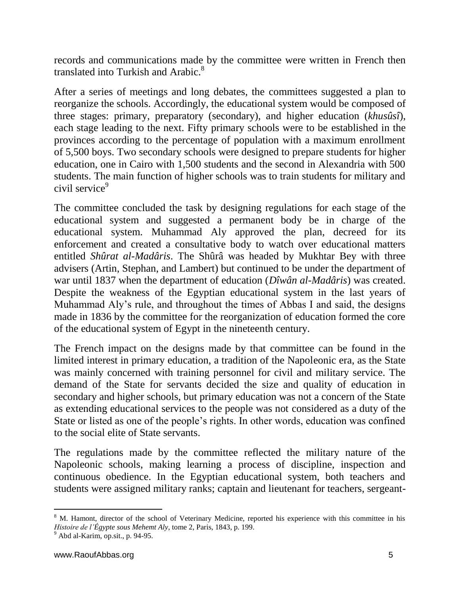records and communications made by the committee were written in French then translated into Turkish and Arabic.<sup>8</sup>

After a series of meetings and long debates, the committees suggested a plan to reorganize the schools. Accordingly, the educational system would be composed of three stages: primary, preparatory (secondary), and higher education (*khusûsî*), each stage leading to the next. Fifty primary schools were to be established in the provinces according to the percentage of population with a maximum enrollment of 5,500 boys. Two secondary schools were designed to prepare students for higher education, one in Cairo with 1,500 students and the second in Alexandria with 500 students. The main function of higher schools was to train students for military and civil service<sup>9</sup>

The committee concluded the task by designing regulations for each stage of the educational system and suggested a permanent body be in charge of the educational system. Muhammad Aly approved the plan, decreed for its enforcement and created a consultative body to watch over educational matters entitled *Shûrat al-Madâris*. The Shûrâ was headed by Mukhtar Bey with three advisers (Artin, Stephan, and Lambert) but continued to be under the department of war until 1837 when the department of education (*Dîwân al-Madâris*) was created. Despite the weakness of the Egyptian educational system in the last years of Muhammad Aly's rule, and throughout the times of Abbas I and said, the designs made in 1836 by the committee for the reorganization of education formed the core of the educational system of Egypt in the nineteenth century.

The French impact on the designs made by that committee can be found in the limited interest in primary education, a tradition of the Napoleonic era, as the State was mainly concerned with training personnel for civil and military service. The demand of the State for servants decided the size and quality of education in secondary and higher schools, but primary education was not a concern of the State as extending educational services to the people was not considered as a duty of the State or listed as one of the people's rights. In other words, education was confined to the social elite of State servants.

The regulations made by the committee reflected the military nature of the Napoleonic schools, making learning a process of discipline, inspection and continuous obedience. In the Egyptian educational system, both teachers and students were assigned military ranks; captain and lieutenant for teachers, sergeant-

 $\overline{a}$ 

<sup>&</sup>lt;sup>8</sup> M. Hamont, director of the school of Veterinary Medicine, reported his experience with this committee in his *Histoire de l'Égypte sous Mehemt Aly*, tome 2, Paris, 1843, p. 199.

 $<sup>9</sup>$  Abd al-Karim, op.sit., p. 94-95.</sup>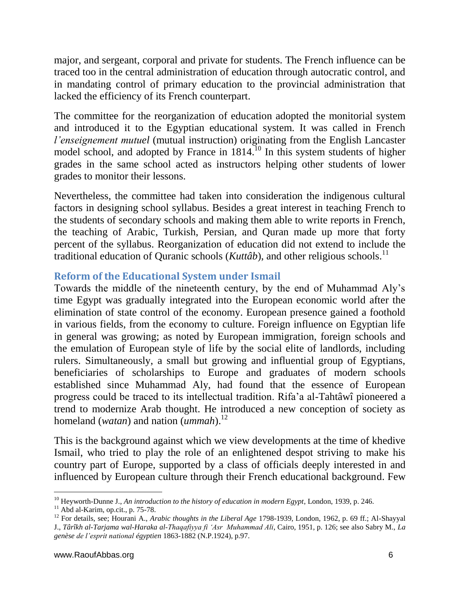major, and sergeant, corporal and private for students. The French influence can be traced too in the central administration of education through autocratic control, and in mandating control of primary education to the provincial administration that lacked the efficiency of its French counterpart.

The committee for the reorganization of education adopted the monitorial system and introduced it to the Egyptian educational system. It was called in French *l'enseignement mutuel* (mutual instruction) originating from the English Lancaster model school, and adopted by France in 1814.<sup>10</sup> In this system students of higher grades in the same school acted as instructors helping other students of lower grades to monitor their lessons.

Nevertheless, the committee had taken into consideration the indigenous cultural factors in designing school syllabus. Besides a great interest in teaching French to the students of secondary schools and making them able to write reports in French, the teaching of Arabic, Turkish, Persian, and Quran made up more that forty percent of the syllabus. Reorganization of education did not extend to include the traditional education of Quranic schools (*Kuttâb*), and other religious schools.<sup>11</sup>

### **Reform of the Educational System under Ismail**

Towards the middle of the nineteenth century, by the end of Muhammad Aly's time Egypt was gradually integrated into the European economic world after the elimination of state control of the economy. European presence gained a foothold in various fields, from the economy to culture. Foreign influence on Egyptian life in general was growing; as noted by European immigration, foreign schools and the emulation of European style of life by the social elite of landlords, including rulers. Simultaneously, a small but growing and influential group of Egyptians, beneficiaries of scholarships to Europe and graduates of modern schools established since Muhammad Aly, had found that the essence of European progress could be traced to its intellectual tradition. Rifa'a al-Tahtâwî pioneered a trend to modernize Arab thought. He introduced a new conception of society as homeland (*watan*) and nation (*ummah*).<sup>12</sup>

This is the background against which we view developments at the time of khedive Ismail, who tried to play the role of an enlightened despot striving to make his country part of Europe, supported by a class of officials deeply interested in and influenced by European culture through their French educational background. Few

l <sup>10</sup> Heyworth-Dunne J., *An introduction to the history of education in modern Egypt*, London, 1939, p. 246.

 $11$  Abd al-Karim, op.cit., p. 75-78.

<sup>12</sup> For details, see; Hourani A., *Arabic thoughts in the Liberal Age* 1798-1939, London, 1962, p. 69 ff.; Al-Shayyal J., *Târîkh al-Tarjama wal-Haraka al-Thaqafiyya fi 'Asr Muhammad Ali*, Cairo, 1951, p. 126; see also Sabry M., *La genèse de l'esprit national égyptien* 1863-1882 (N.P.1924), p.97.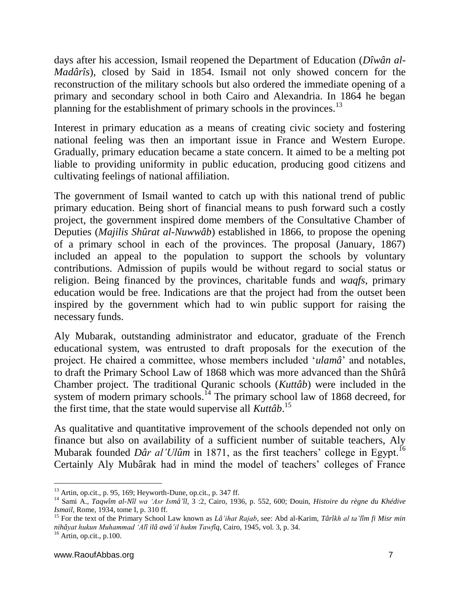days after his accession, Ismail reopened the Department of Education (*Dîwân al-Madârîs*), closed by Said in 1854. Ismail not only showed concern for the reconstruction of the military schools but also ordered the immediate opening of a primary and secondary school in both Cairo and Alexandria. In 1864 he began planning for the establishment of primary schools in the provinces.<sup>13</sup>

Interest in primary education as a means of creating civic society and fostering national feeling was then an important issue in France and Western Europe. Gradually, primary education became a state concern. It aimed to be a melting pot liable to providing uniformity in public education, producing good citizens and cultivating feelings of national affiliation.

The government of Ismail wanted to catch up with this national trend of public primary education. Being short of financial means to push forward such a costly project, the government inspired dome members of the Consultative Chamber of Deputies (*Majilis Shûrat al-Nuwwâb*) established in 1866, to propose the opening of a primary school in each of the provinces. The proposal (January, 1867) included an appeal to the population to support the schools by voluntary contributions. Admission of pupils would be without regard to social status or religion. Being financed by the provinces, charitable funds and *waqfs*, primary education would be free. Indications are that the project had from the outset been inspired by the government which had to win public support for raising the necessary funds.

Aly Mubarak, outstanding administrator and educator, graduate of the French educational system, was entrusted to draft proposals for the execution of the project. He chaired a committee, whose members included '*ulamâ*' and notables, to draft the Primary School Law of 1868 which was more advanced than the Shûrâ Chamber project. The traditional Quranic schools (*Kuttâb*) were included in the system of modern primary schools.<sup> $14$ </sup> The primary school law of 1868 decreed, for the first time, that the state would supervise all *Kuttâb*. 15

As qualitative and quantitative improvement of the schools depended not only on finance but also on availability of a sufficient number of suitable teachers, Aly Mubarak founded *Dâr al'Ulûm* in 1871, as the first teachers' college in Egypt.<sup>16</sup> Certainly Aly Mubârak had in mind the model of teachers' colleges of France

 $\overline{a}$  $13$  Artin, op.cit., p. 95, 169; Heyworth-Dune, op.cit., p. 347 ff.

<sup>14</sup> Sami A., *Taqwîm al-Nîl wa 'Asr Ismâ'îl*, 3 :2, Cairo, 1936, p. 552, 600; Douin, *Histoire du règne du Khédive Ismail*, Rome, 1934, tome I, p. 310 ff.

<sup>15</sup> For the text of the Primary School Law known as *Lâ'ihat Rajab*, see: Abd al-Karim, *Târîkh al ta'lîm fi Misr min nihâyat hukun Muhammad 'Alî ilâ awâ'il hukm Tawfîq*, Cairo, 1945, vol. 3, p. 34.

 $16$  Artin, op.cit., p.100.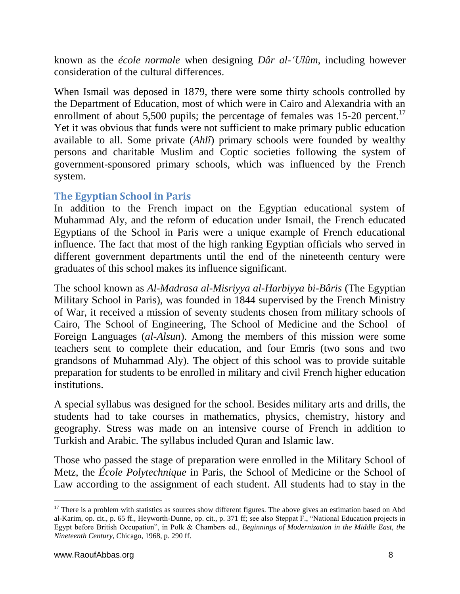known as the *école normale* when designing *Dâr al-'Ulûm*, including however consideration of the cultural differences.

When Ismail was deposed in 1879, there were some thirty schools controlled by the Department of Education, most of which were in Cairo and Alexandria with an enrollment of about 5,500 pupils; the percentage of females was  $15{\text -}20$  percent.<sup>17</sup> Yet it was obvious that funds were not sufficient to make primary public education available to all. Some private (*Ahlî*) primary schools were founded by wealthy persons and charitable Muslim and Coptic societies following the system of government-sponsored primary schools, which was influenced by the French system.

### **The Egyptian School in Paris**

In addition to the French impact on the Egyptian educational system of Muhammad Aly, and the reform of education under Ismail, the French educated Egyptians of the School in Paris were a unique example of French educational influence. The fact that most of the high ranking Egyptian officials who served in different government departments until the end of the nineteenth century were graduates of this school makes its influence significant.

The school known as *Al-Madrasa al-Misriyya al-Harbiyya bi-Bâris* (The Egyptian Military School in Paris), was founded in 1844 supervised by the French Ministry of War, it received a mission of seventy students chosen from military schools of Cairo, The School of Engineering, The School of Medicine and the School of Foreign Languages (*al-Alsun*). Among the members of this mission were some teachers sent to complete their education, and four Emris (two sons and two grandsons of Muhammad Aly). The object of this school was to provide suitable preparation for students to be enrolled in military and civil French higher education institutions.

A special syllabus was designed for the school. Besides military arts and drills, the students had to take courses in mathematics, physics, chemistry, history and geography. Stress was made on an intensive course of French in addition to Turkish and Arabic. The syllabus included Quran and Islamic law.

Those who passed the stage of preparation were enrolled in the Military School of Metz, the *École Polytechnique* in Paris, the School of Medicine or the School of Law according to the assignment of each student. All students had to stay in the

<sup>&</sup>lt;sup>17</sup> There is a problem with statistics as sources show different figures. The above gives an estimation based on Abd al-Karim, op. cit., p. 65 ff., Heyworth-Dunne, op. cit., p. 371 ff; see also Steppat F., "National Education projects in Egypt before British Occupation", in Polk & Chambers ed., *Beginnings of Modernization in the Middle East, the Nineteenth Century*, Chicago, 1968, p. 290 ff.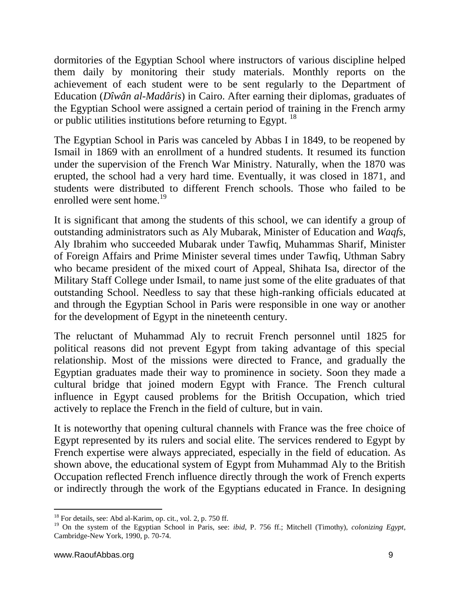dormitories of the Egyptian School where instructors of various discipline helped them daily by monitoring their study materials. Monthly reports on the achievement of each student were to be sent regularly to the Department of Education (*Dîwân al-Madâris*) in Cairo. After earning their diplomas, graduates of the Egyptian School were assigned a certain period of training in the French army or public utilities institutions before returning to Egypt. <sup>18</sup>

The Egyptian School in Paris was canceled by Abbas I in 1849, to be reopened by Ismail in 1869 with an enrollment of a hundred students. It resumed its function under the supervision of the French War Ministry. Naturally, when the 1870 was erupted, the school had a very hard time. Eventually, it was closed in 1871, and students were distributed to different French schools. Those who failed to be enrolled were sent home.<sup>19</sup>

It is significant that among the students of this school, we can identify a group of outstanding administrators such as Aly Mubarak, Minister of Education and *Waqfs*, Aly Ibrahim who succeeded Mubarak under Tawfiq, Muhammas Sharif, Minister of Foreign Affairs and Prime Minister several times under Tawfiq, Uthman Sabry who became president of the mixed court of Appeal, Shihata Isa, director of the Military Staff College under Ismail, to name just some of the elite graduates of that outstanding School. Needless to say that these high-ranking officials educated at and through the Egyptian School in Paris were responsible in one way or another for the development of Egypt in the nineteenth century.

The reluctant of Muhammad Aly to recruit French personnel until 1825 for political reasons did not prevent Egypt from taking advantage of this special relationship. Most of the missions were directed to France, and gradually the Egyptian graduates made their way to prominence in society. Soon they made a cultural bridge that joined modern Egypt with France. The French cultural influence in Egypt caused problems for the British Occupation, which tried actively to replace the French in the field of culture, but in vain.

It is noteworthy that opening cultural channels with France was the free choice of Egypt represented by its rulers and social elite. The services rendered to Egypt by French expertise were always appreciated, especially in the field of education. As shown above, the educational system of Egypt from Muhammad Aly to the British Occupation reflected French influence directly through the work of French experts or indirectly through the work of the Egyptians educated in France. In designing

 $\overline{a}$ 

 $18$  For details, see: Abd al-Karim, op. cit., vol. 2, p. 750 ff.

<sup>19</sup> On the system of the Egyptian School in Paris, see: *ibid*, P. 756 ff.; Mitchell (Timothy), *colonizing Egypt*, Cambridge-New York, 1990, p. 70-74.